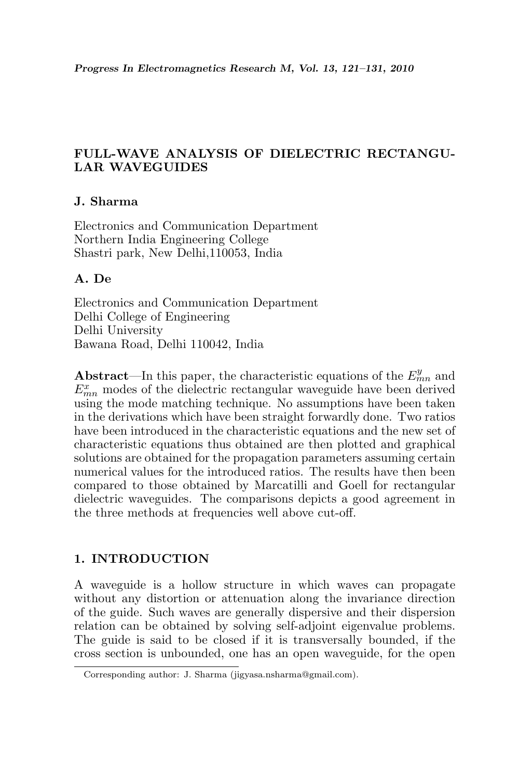### FULL-WAVE ANALYSIS OF DIELECTRIC RECTANGU-LAR WAVEGUIDES

### J. Sharma

Electronics and Communication Department Northern India Engineering College Shastri park, New Delhi,110053, India

### A. De

Electronics and Communication Department Delhi College of Engineering Delhi University Bawana Road, Delhi 110042, India

**Abstract**—In this paper, the characteristic equations of the  $E_{mn}^y$  and  $E_{mn}^x$  modes of the dielectric rectangular waveguide have been derived using the mode matching technique. No assumptions have been taken in the derivations which have been straight forwardly done. Two ratios have been introduced in the characteristic equations and the new set of characteristic equations thus obtained are then plotted and graphical solutions are obtained for the propagation parameters assuming certain numerical values for the introduced ratios. The results have then been compared to those obtained by Marcatilli and Goell for rectangular dielectric waveguides. The comparisons depicts a good agreement in the three methods at frequencies well above cut-off.

### 1. INTRODUCTION

A waveguide is a hollow structure in which waves can propagate without any distortion or attenuation along the invariance direction of the guide. Such waves are generally dispersive and their dispersion relation can be obtained by solving self-adjoint eigenvalue problems. The guide is said to be closed if it is transversally bounded, if the cross section is unbounded, one has an open waveguide, for the open

Corresponding author: J. Sharma (jigyasa.nsharma@gmail.com).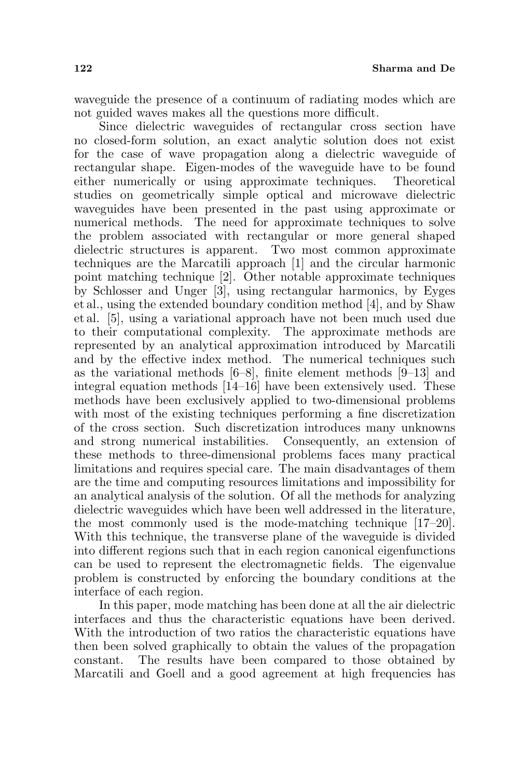waveguide the presence of a continuum of radiating modes which are not guided waves makes all the questions more difficult.

Since dielectric waveguides of rectangular cross section have no closed-form solution, an exact analytic solution does not exist for the case of wave propagation along a dielectric waveguide of rectangular shape. Eigen-modes of the waveguide have to be found either numerically or using approximate techniques. Theoretical studies on geometrically simple optical and microwave dielectric waveguides have been presented in the past using approximate or numerical methods. The need for approximate techniques to solve the problem associated with rectangular or more general shaped dielectric structures is apparent. Two most common approximate techniques are the Marcatili approach [1] and the circular harmonic point matching technique [2]. Other notable approximate techniques by Schlosser and Unger [3], using rectangular harmonics, by Eyges et al., using the extended boundary condition method [4], and by Shaw et al. [5], using a variational approach have not been much used due to their computational complexity. The approximate methods are represented by an analytical approximation introduced by Marcatili and by the effective index method. The numerical techniques such as the variational methods [6–8], finite element methods [9–13] and integral equation methods [14–16] have been extensively used. These methods have been exclusively applied to two-dimensional problems with most of the existing techniques performing a fine discretization of the cross section. Such discretization introduces many unknowns and strong numerical instabilities. Consequently, an extension of these methods to three-dimensional problems faces many practical limitations and requires special care. The main disadvantages of them are the time and computing resources limitations and impossibility for an analytical analysis of the solution. Of all the methods for analyzing dielectric waveguides which have been well addressed in the literature, the most commonly used is the mode-matching technique [17–20]. With this technique, the transverse plane of the waveguide is divided into different regions such that in each region canonical eigenfunctions can be used to represent the electromagnetic fields. The eigenvalue problem is constructed by enforcing the boundary conditions at the interface of each region.

In this paper, mode matching has been done at all the air dielectric interfaces and thus the characteristic equations have been derived. With the introduction of two ratios the characteristic equations have then been solved graphically to obtain the values of the propagation constant. The results have been compared to those obtained by Marcatili and Goell and a good agreement at high frequencies has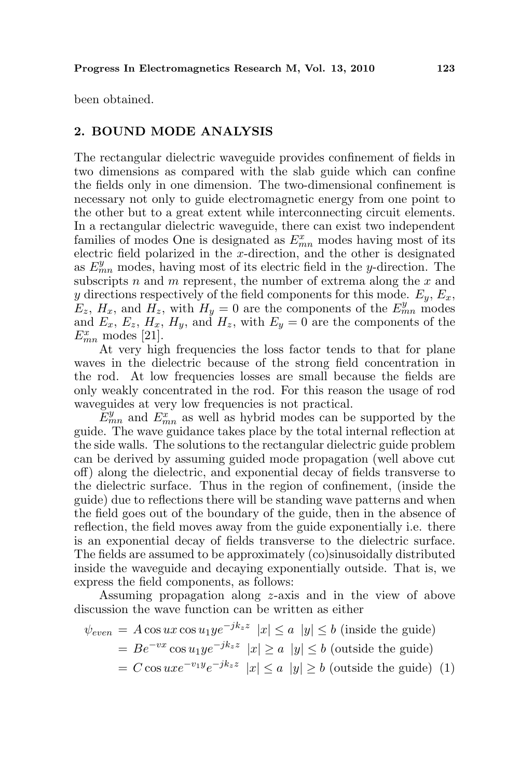been obtained.

#### 2. BOUND MODE ANALYSIS

The rectangular dielectric waveguide provides confinement of fields in two dimensions as compared with the slab guide which can confine the fields only in one dimension. The two-dimensional confinement is necessary not only to guide electromagnetic energy from one point to the other but to a great extent while interconnecting circuit elements. In a rectangular dielectric waveguide, there can exist two independent families of modes One is designated as  $E_{mn}^x$  modes having most of its electric field polarized in the x-direction, and the other is designated as  $E_{mn}^y$  modes, having most of its electric field in the y-direction. The subscripts  $n$  and  $m$  represent, the number of extrema along the  $x$  and y directions respectively of the field components for this mode.  $E_y, E_x$ ,  $E_z$ ,  $H_x$ , and  $H_z$ , with  $H_y = 0$  are the components of the  $E_{mn}^y$  modes and  $E_x$ ,  $E_z$ ,  $H_x$ ,  $H_y$ , and  $H_z$ , with  $E_y = 0$  are the components of the  $E_{mn}^x$  modes [21].

At very high frequencies the loss factor tends to that for plane waves in the dielectric because of the strong field concentration in the rod. At low frequencies losses are small because the fields are only weakly concentrated in the rod. For this reason the usage of rod waveguides at very low frequencies is not practical.

 $E_{mn}^y$  and  $E_{mn}^x$  as well as hybrid modes can be supported by the guide. The wave guidance takes place by the total internal reflection at the side walls. The solutions to the rectangular dielectric guide problem can be derived by assuming guided mode propagation (well above cut off) along the dielectric, and exponential decay of fields transverse to the dielectric surface. Thus in the region of confinement, (inside the guide) due to reflections there will be standing wave patterns and when the field goes out of the boundary of the guide, then in the absence of reflection, the field moves away from the guide exponentially i.e. there is an exponential decay of fields transverse to the dielectric surface. The fields are assumed to be approximately (co)sinusoidally distributed inside the waveguide and decaying exponentially outside. That is, we express the field components, as follows:

Assuming propagation along z-axis and in the view of above discussion the wave function can be written as either

$$
\psi_{even} = A \cos ux \cos u_1 y e^{-jk_z z} \quad |x| \le a \quad |y| \le b \text{ (inside the guide)}
$$

$$
= Be^{-vx} \cos u_1 y e^{-jk_z z} \quad |x| \ge a \quad |y| \le b \text{ (outside the guide)}
$$

$$
= C \cos ux e^{-v_1 y} e^{-jk_z z} \quad |x| \le a \quad |y| \ge b \text{ (outside the guide)} \quad (1)
$$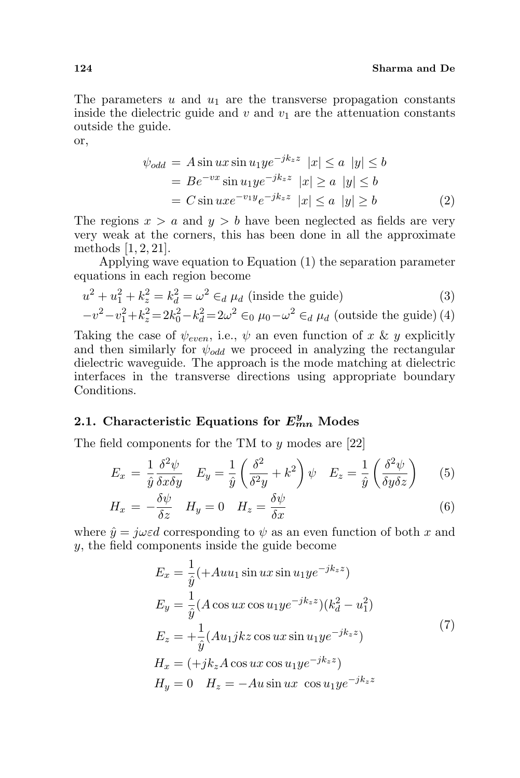The parameters  $u$  and  $u_1$  are the transverse propagation constants inside the dielectric guide and  $v_1$  are the attenuation constants outside the guide.

or,

$$
\psi_{odd} = A \sin ux \sin u_1 y e^{-jk_z z} \quad |x| \le a \quad |y| \le b
$$
  
= 
$$
Be^{-vx} \sin u_1 y e^{-jk_z z} \quad |x| \ge a \quad |y| \le b
$$
  
= 
$$
C \sin ux e^{-v_1 y} e^{-jk_z z} \quad |x| \le a \quad |y| \ge b
$$
 (2)

The regions  $x > a$  and  $y > b$  have been neglected as fields are very very weak at the corners, this has been done in all the approximate methods [1, 2, 21].

Applying wave equation to Equation (1) the separation parameter equations in each region become

$$
u^{2} + u_{1}^{2} + k_{z}^{2} = k_{d}^{2} = \omega^{2} \in_{d} \mu_{d}
$$
 (inside the guide) (3)  

$$
-v^{2} - v_{1}^{2} + k_{z}^{2} = 2k_{0}^{2} - k_{d}^{2} = 2\omega^{2} \in_{0} \mu_{0} - \omega^{2} \in_{d} \mu_{d}
$$
 (outside the guide) (4)

Taking the case of  $\psi_{even}$ , i.e.,  $\psi$  an even function of x & y explicitly and then similarly for  $\psi_{odd}$  we proceed in analyzing the rectangular dielectric waveguide. The approach is the mode matching at dielectric interfaces in the transverse directions using appropriate boundary Conditions.

# 2.1. Characteristic Equations for  $E_{mn}^y$  Modes

The field components for the TM to  $y$  modes are [22]

$$
E_x = \frac{1}{\hat{y}} \frac{\delta^2 \psi}{\delta x \delta y} \quad E_y = \frac{1}{\hat{y}} \left( \frac{\delta^2}{\delta^2 y} + k^2 \right) \psi \quad E_z = \frac{1}{\hat{y}} \left( \frac{\delta^2 \psi}{\delta y \delta z} \right) \tag{5}
$$

$$
H_x = -\frac{\delta\psi}{\delta z} \quad H_y = 0 \quad H_z = \frac{\delta\psi}{\delta x} \tag{6}
$$

where  $\hat{y} = j\omega \varepsilon d$  corresponding to  $\psi$  as an even function of both x and y, the field components inside the guide become

$$
E_x = \frac{1}{\hat{y}} ( + Auu_1 \sin ux \sin u_1 y e^{-jk_z z} )
$$
  
\n
$$
E_y = \frac{1}{\hat{y}} (A \cos ux \cos u_1 y e^{-jk_z z}) (k_d^2 - u_1^2)
$$
  
\n
$$
E_z = + \frac{1}{\hat{y}} (Au_1 j k z \cos ux \sin u_1 y e^{-jk_z z} )
$$
  
\n
$$
H_x = (+jk_z A \cos ux \cos u_1 y e^{-jk_z z} )
$$
  
\n
$$
H_y = 0 \quad H_z = -Au \sin ux \cos u_1 y e^{-jk_z z}
$$
 (7)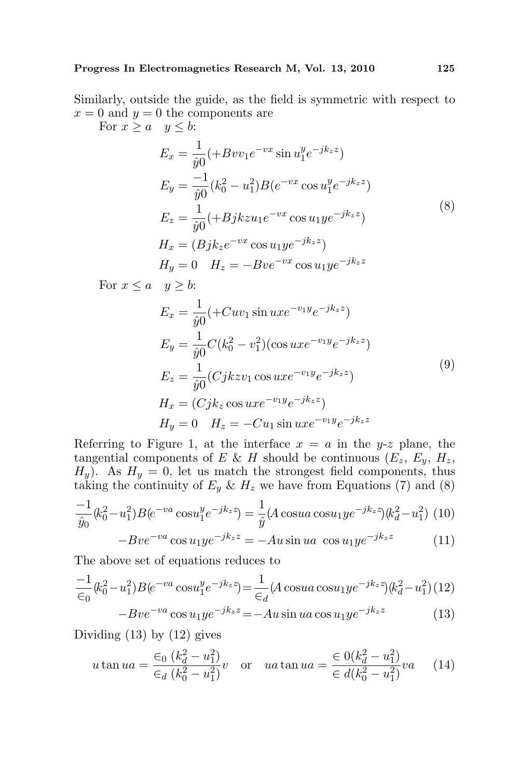Similarly, outside the guide, as the field is symmetric with respect to  $x = 0$  and  $y = 0$  the components are For  $x \ge a$   $y \le b$ :

$$
E_x = \frac{1}{\hat{y}0} (+Bvv_1e^{-vx}\sin u_1^y e^{-jk_z z})
$$
  
\n
$$
E_y = \frac{-1}{\hat{y}0} (k_0^2 - u_1^2) B(e^{-vx}\cos u_1^y e^{-jk_z z})
$$
  
\n
$$
E_z = \frac{1}{\hat{y}0} (+Bjkzu_1e^{-vx}\cos u_1ye^{-jk_z z})
$$
  
\n
$$
H_x = (Bjk_ze^{-vx}\cos u_1ye^{-jk_z z})
$$
  
\n
$$
H_y = 0 \quad H_z = -Bve^{-vx}\cos u_1ye^{-jk_z z}
$$

For  $x \le a$   $y \ge b$ :

$$
E_x = \frac{1}{\hat{y}0} (+Cuv_1 \sin uxe^{-v_1y}e^{-jk_zz})
$$
  
\n
$$
E_y = \frac{1}{\hat{y}0}C(k_0^2 - v_1^2)(\cos uxe^{-v_1y}e^{-jk_zz})
$$
  
\n
$$
E_z = \frac{1}{\hat{y}0}(Cjkzv_1 \cos uxe^{-v_1y}e^{-jk_zz})
$$
  
\n
$$
H_x = (Cjk_z \cos uxe^{-v_1y}e^{-jk_zz})
$$
  
\n
$$
H_y = 0 \quad H_z = -Cu_1 \sin uxe^{-v_1y}e^{-jk_zz}
$$

Referring to Figure 1, at the interface  $x = a$  in the y-z plane, the tangential components of E & H should be continuous  $(E_z, E_y, H_z,$  $H_y$ . As  $H_y = 0$ , let us match the strongest field components, thus taking the continuity of  $E_y \& H_z$  we have from Equations (7) and (8)

$$
\frac{-1}{\hat{y}_0}(k_0^2 - u_1^2)B(e^{-va}\cos u_1^y e^{-jk_zz}) = \frac{1}{\hat{y}}(A\cos ua\cos u_1 ye^{-jk_zz})(k_d^2 - u_1^2)
$$
(10)

$$
-Bve^{-va}\cos u_1ye^{-jk_zz} = -Au\sin ua \cos u_1ye^{-jk_zz} \tag{11}
$$

The above set of equations reduces to

$$
\frac{-1}{\epsilon_0} (k_0^2 - u_1^2) B(e^{-va} \cos u_1^y e^{-jk_z z}) = \frac{1}{\epsilon_d} (A \cos ua \cos u_1 y e^{-jk_z z}) (k_d^2 - u_1^2) (12)
$$

$$
-Bve^{-va}\cos u_1ye^{-jk_zz} = -Au\sin ua\cos u_1ye^{-jk_zz} \tag{13}
$$

Dividing  $(13)$  by  $(12)$  gives

$$
u \tan ua = \frac{\epsilon_0 (k_d^2 - u_1^2)}{\epsilon_d (k_0^2 - u_1^2)} v \quad \text{or} \quad ua \tan ua = \frac{\epsilon 0 (k_d^2 - u_1^2)}{\epsilon d (k_0^2 - u_1^2)} va \quad (14)
$$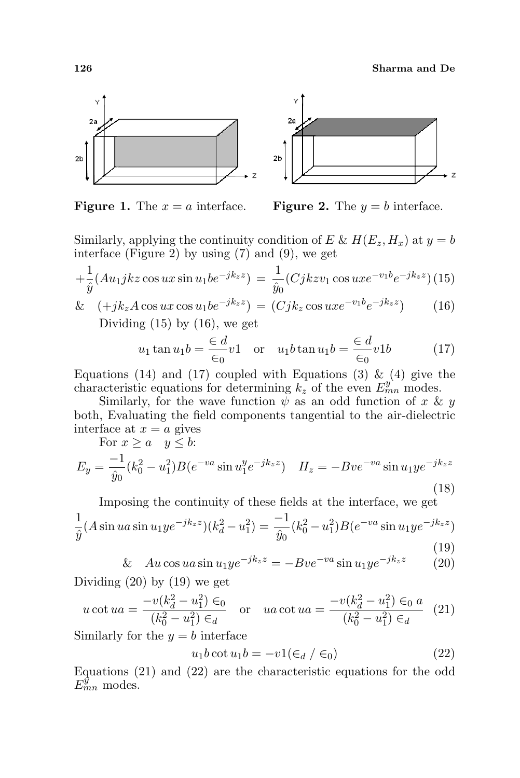126 Sharma and De



**Figure 1.** The  $x = a$  interface. **Figure 2.** The  $y = b$  interface.

Similarly, applying the continuity condition of E &  $H(E_z, H_x)$  at  $y = b$ interface (Figure 2) by using  $(7)$  and  $(9)$ , we get

$$
+\frac{1}{\hat{y}}(Au_1jkz\cos ux\sin u_1be^{-jk_zz}) = \frac{1}{\hat{y}_0}(Cjkzv_1\cos uxe^{-v_1b}e^{-jk_zz})(15)
$$

& 
$$
(+jk_z A \cos ux \cos u_1 b e^{-jk_z z}) = (Cjk_z \cos ux e^{-v_1 b} e^{-jk_z z})
$$
 (16)

Dividing (15) by (16), we get

$$
u_1 \tan u_1 b = \frac{\epsilon}{\epsilon_0} u_1 \quad \text{or} \quad u_1 b \tan u_1 b = \frac{\epsilon}{\epsilon_0} u_1 b \tag{17}
$$

Equations (14) and (17) coupled with Equations (3)  $\&$  (4) give the characteristic equations for determining  $k_z$  of the even  $E_{mn}^y$  modes.

Similarly, for the wave function  $\psi$  as an odd function of x & y both, Evaluating the field components tangential to the air-dielectric interface at  $x = a$  gives

For 
$$
x \ge a
$$
  $y \le b$ :  
\n
$$
E_y = \frac{-1}{\hat{y}_0} (k_0^2 - u_1^2) B(e^{-va} \sin u_1^y e^{-jk_z z}) \quad H_z = -Bve^{-va} \sin u_1 y e^{-jk_z z}
$$
\n(18)

Imposing the continuity of these fields at the interface, we get

$$
\frac{1}{\hat{y}}(A\sin u a \sin u_1 y e^{-jk_z z})(k_d^2 - u_1^2) = \frac{-1}{\hat{y}_0}(k_0^2 - u_1^2)B(e^{-va}\sin u_1 y e^{-jk_z z})
$$
\n(19)

& Au cos u a sin 
$$
u_1 y e^{-jk_z z} = -Bve^{-va} \sin u_1 y e^{-jk_z z}
$$
 (20)

Dividing (20) by (19) we get

$$
u \cot ua = \frac{-v(k_d^2 - u_1^2) \in_0}{(k_0^2 - u_1^2) \in_d} \quad \text{or} \quad ua \cot ua = \frac{-v(k_d^2 - u_1^2) \in_0 a}{(k_0^2 - u_1^2) \in_d} \tag{21}
$$

Similarly for the  $y = b$  interface

$$
u_1 b \cot u_1 b = -v1(\epsilon_d / \epsilon_0)
$$
 (22)

Equations (21) and (22) are the characteristic equations for the odd  $E_{mn}^{\hat{y}}$  modes.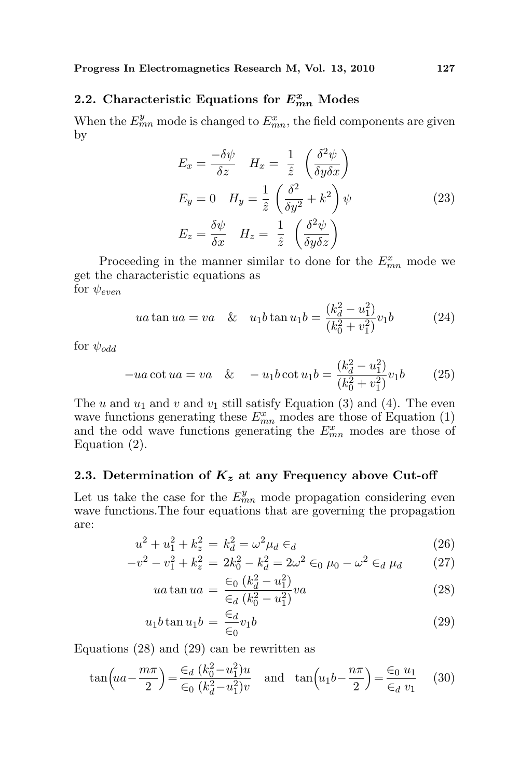# 2.2. Characteristic Equations for  $E_{mn}^x$  Modes

When the  $E_{mn}^y$  mode is changed to  $E_{mn}^x$ , the field components are given by

$$
E_x = \frac{-\delta\psi}{\delta z} \quad H_x = \frac{1}{\hat{z}} \left(\frac{\delta^2\psi}{\delta y \delta x}\right)
$$
  
\n
$$
E_y = 0 \quad H_y = \frac{1}{\hat{z}} \left(\frac{\delta^2}{\delta y^2} + k^2\right)\psi
$$
  
\n
$$
E_z = \frac{\delta\psi}{\delta x} \quad H_z = \frac{1}{\hat{z}} \left(\frac{\delta^2\psi}{\delta y \delta z}\right)
$$
\n(23)

Proceeding in the manner similar to done for the  $E_{mn}^x$  mode we get the characteristic equations as for  $\psi_{even}$ 

$$
ua \tan ua = va \& u_1b \tan u_1b = \frac{(k_d^2 - u_1^2)}{(k_0^2 + v_1^2)}v_1b \tag{24}
$$

for  $\psi_{odd}$ 

$$
-ua \cot ua = va \& \quad -u_1b \cot u_1b = \frac{(k_d^2 - u_1^2)}{(k_0^2 + v_1^2)}v_1b \tag{25}
$$

The u and  $u_1$  and v and  $v_1$  still satisfy Equation (3) and (4). The even wave functions generating these  $E_{mn}^x$  modes are those of Equation (1) and the odd wave functions generating the  $E_{mn}^x$  modes are those of Equation (2).

### 2.3. Determination of  $K_z$  at any Frequency above Cut-off

Let us take the case for the  $E_{mn}^y$  mode propagation considering even wave functions.The four equations that are governing the propagation are:

$$
u^{2} + u_{1}^{2} + k_{z}^{2} = k_{d}^{2} = \omega^{2} \mu_{d} \in d \tag{26}
$$

$$
-v^2 - v_1^2 + k_z^2 = 2k_0^2 - k_d^2 = 2\omega^2 \in (0, \mu_0 - \omega^2 \in d\mu_d)
$$
 (27)

$$
ua \tan ua = \frac{\epsilon_0 (k_d^2 - u_1^2)}{\epsilon_d (k_0^2 - u_1^2)} va
$$
\n(28)

$$
u_1 b \tan u_1 b = \frac{\epsilon_d}{\epsilon_0} v_1 b \tag{29}
$$

Equations (28) and (29) can be rewritten as

$$
\tan\left(ua - \frac{m\pi}{2}\right) = \frac{\epsilon_d (k_0^2 - u_1^2)u}{\epsilon_0 (k_d^2 - u_1^2)v} \quad \text{and} \quad \tan\left(u_1b - \frac{n\pi}{2}\right) = \frac{\epsilon_0 u_1}{\epsilon_d v_1} \tag{30}
$$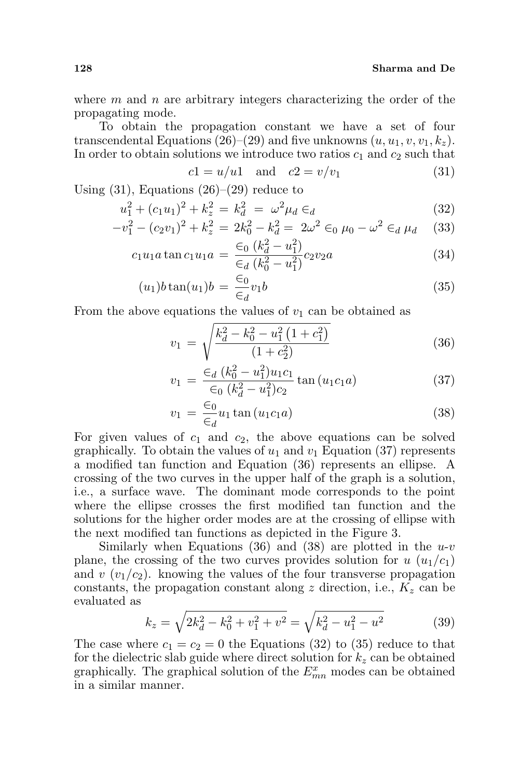where  $m$  and  $n$  are arbitrary integers characterizing the order of the propagating mode.

To obtain the propagation constant we have a set of four transcendental Equations (26)–(29) and five unknowns  $(u, u_1, v, v_1, k_z)$ . In order to obtain solutions we introduce two ratios  $c_1$  and  $c_2$  such that

$$
c1 = u/u1 \quad \text{and} \quad c2 = v/v_1 \tag{31}
$$

Using  $(31)$ , Equations  $(26)-(29)$  reduce to

$$
u_1^2 + (c_1 u_1)^2 + k_2^2 = k_d^2 = \omega^2 \mu_d \in_d
$$
\n(32)

$$
-v_1^2 - (c_2v_1)^2 + k_z^2 = 2k_0^2 - k_d^2 = 2\omega^2 \in_0 \mu_0 - \omega^2 \in_d \mu_d \quad (33)
$$

$$
c_1 u_1 a \tan c_1 u_1 a = \frac{\epsilon_0 (k_d^2 - u_1^2)}{\epsilon_d (k_0^2 - u_1^2)} c_2 v_2 a \tag{34}
$$

$$
(u_1)b\tan(u_1)b = \frac{\epsilon_0}{\epsilon_d}v_1b\tag{35}
$$

From the above equations the values of  $v_1$  can be obtained as

$$
v_1 = \sqrt{\frac{k_d^2 - k_0^2 - u_1^2 \left(1 + c_1^2\right)}{\left(1 + c_2^2\right)}}
$$
\n(36)

$$
v_1 = \frac{\epsilon_d (k_0^2 - u_1^2) u_1 c_1}{\epsilon_0 (k_d^2 - u_1^2) c_2} \tan(u_1 c_1 a)
$$
 (37)

$$
v_1 = \frac{\epsilon_0}{\epsilon_d} u_1 \tan(u_1 c_1 a) \tag{38}
$$

For given values of  $c_1$  and  $c_2$ , the above equations can be solved graphically. To obtain the values of  $u_1$  and  $v_1$  Equation (37) represents a modified tan function and Equation (36) represents an ellipse. A crossing of the two curves in the upper half of the graph is a solution, i.e., a surface wave. The dominant mode corresponds to the point where the ellipse crosses the first modified tan function and the solutions for the higher order modes are at the crossing of ellipse with the next modified tan functions as depicted in the Figure 3.

Similarly when Equations (36) and (38) are plotted in the  $u$ -*v* plane, the crossing of the two curves provides solution for  $u(u_1/c_1)$ and v  $(v_1/c_2)$ . knowing the values of the four transverse propagation constants, the propagation constant along z direction, i.e.,  $K_z$  can be evaluated as  $\mathcal{L}$  $\mathcal{L}$ 

$$
k_z = \sqrt{2k_d^2 - k_0^2 + v_1^2 + v^2} = \sqrt{k_d^2 - u_1^2 - u^2}
$$
 (39)

The case where  $c_1 = c_2 = 0$  the Equations (32) to (35) reduce to that for the dielectric slab guide where direct solution for  $k_z$  can be obtained graphically. The graphical solution of the  $E_{mn}^x$  modes can be obtained in a similar manner.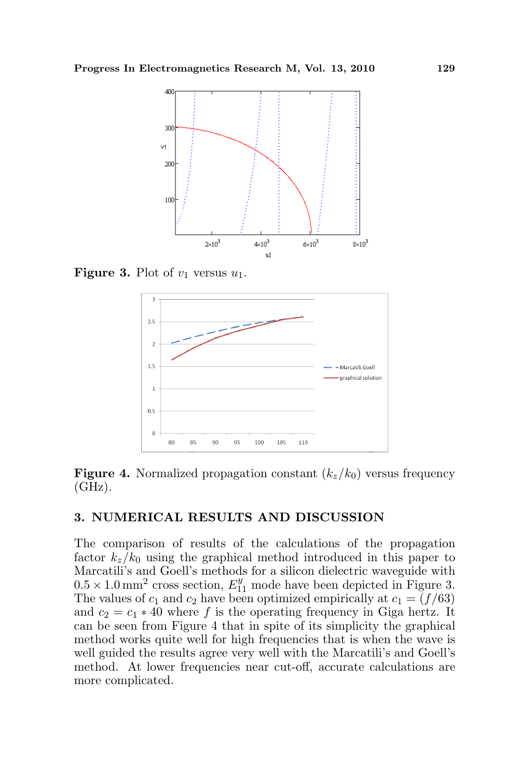

**Figure 3.** Plot of  $v_1$  versus  $u_1$ .



**Figure 4.** Normalized propagation constant  $(k_z/k_0)$  versus frequency  $(GHz)$ .

### 3. NUMERICAL RESULTS AND DISCUSSION

The comparison of results of the calculations of the propagation factor  $k_z/k_0$  using the graphical method introduced in this paper to Marcatili's and Goell's methods for a silicon dielectric waveguide with  $0.5 \times 1.0 \text{ mm}^2$  cross section,  $E_{11}^y$  mode have been depicted in Figure 3. The values of  $c_1$  and  $c_2$  have been optimized empirically at  $c_1 = (f/63)$ and  $c_2 = c_1 * 40$  where f is the operating frequency in Giga hertz. It can be seen from Figure 4 that in spite of its simplicity the graphical method works quite well for high frequencies that is when the wave is well guided the results agree very well with the Marcatili's and Goell's method. At lower frequencies near cut-off, accurate calculations are more complicated.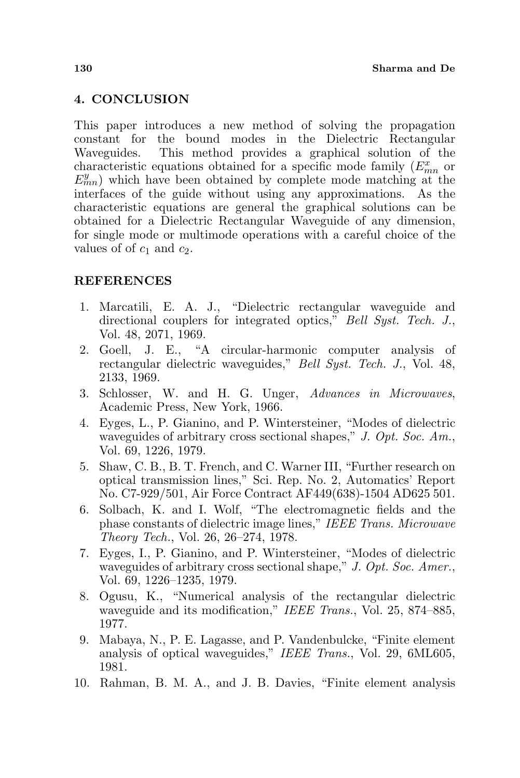## 4. CONCLUSION

This paper introduces a new method of solving the propagation constant for the bound modes in the Dielectric Rectangular Waveguides. This method provides a graphical solution of the characteristic equations obtained for a specific mode family  $(E_{mn}^x)$  or  $E_{mn}^y$ ) which have been obtained by complete mode matching at the interfaces of the guide without using any approximations. As the characteristic equations are general the graphical solutions can be obtained for a Dielectric Rectangular Waveguide of any dimension, for single mode or multimode operations with a careful choice of the values of of  $c_1$  and  $c_2$ .

## REFERENCES

- 1. Marcatili, E. A. J., "Dielectric rectangular waveguide and directional couplers for integrated optics," Bell Syst. Tech. J., Vol. 48, 2071, 1969.
- 2. Goell, J. E., "A circular-harmonic computer analysis of rectangular dielectric waveguides," Bell Syst. Tech. J., Vol. 48, 2133, 1969.
- 3. Schlosser, W. and H. G. Unger, Advances in Microwaves, Academic Press, New York, 1966.
- 4. Eyges, L., P. Gianino, and P. Wintersteiner, "Modes of dielectric waveguides of arbitrary cross sectional shapes," J. Opt. Soc. Am., Vol. 69, 1226, 1979.
- 5. Shaw, C. B., B. T. French, and C. Warner III, "Further research on optical transmission lines," Sci. Rep. No. 2, Automatics' Report No. C7-929/501, Air Force Contract AF449(638)-1504 AD625 501.
- 6. Solbach, K. and I. Wolf, "The electromagnetic fields and the phase constants of dielectric image lines," IEEE Trans. Microwave Theory Tech., Vol. 26, 26–274, 1978.
- 7. Eyges, I., P. Gianino, and P. Wintersteiner, "Modes of dielectric waveguides of arbitrary cross sectional shape," J. Opt. Soc. Amer., Vol. 69, 1226–1235, 1979.
- 8. Ogusu, K., "Numerical analysis of the rectangular dielectric waveguide and its modification," IEEE Trans., Vol. 25, 874–885, 1977.
- 9. Mabaya, N., P. E. Lagasse, and P. Vandenbulcke, "Finite element analysis of optical waveguides," IEEE Trans., Vol. 29, 6ML605, 1981.
- 10. Rahman, B. M. A., and J. B. Davies, "Finite element analysis